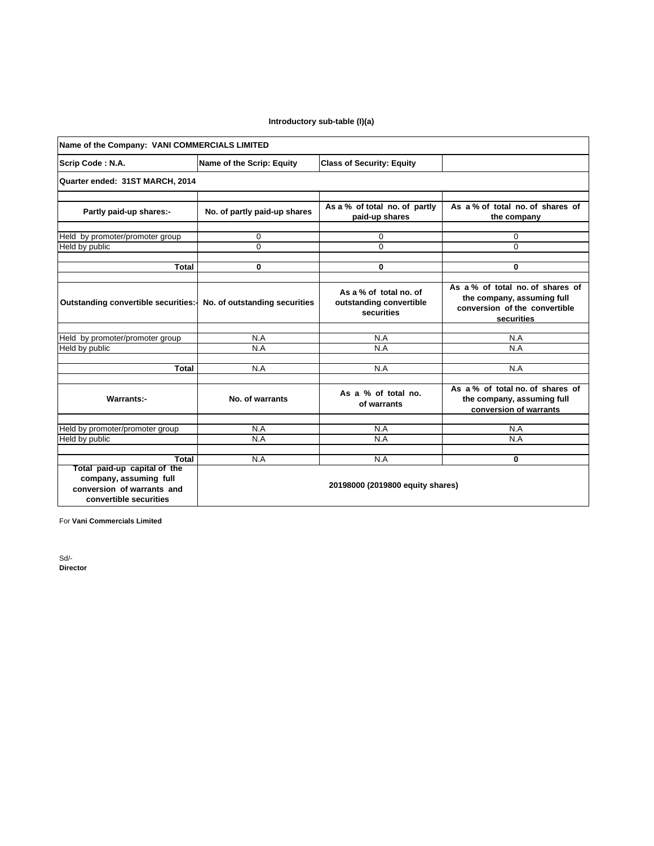## **Introductory sub-table (I)(a)**

| Name of the Company: VANI COMMERCIALS LIMITED                                                                  |                                                                         |                                                                 |                                                                                                              |  |  |  |  |
|----------------------------------------------------------------------------------------------------------------|-------------------------------------------------------------------------|-----------------------------------------------------------------|--------------------------------------------------------------------------------------------------------------|--|--|--|--|
| Scrip Code: N.A.                                                                                               | Name of the Scrip: Equity                                               | <b>Class of Security: Equity</b>                                |                                                                                                              |  |  |  |  |
| Quarter ended: 31ST MARCH, 2014                                                                                |                                                                         |                                                                 |                                                                                                              |  |  |  |  |
| Partly paid-up shares:-                                                                                        | No. of partly paid-up shares                                            | As a % of total no. of partly<br>paid-up shares                 | As a % of total no. of shares of<br>the company                                                              |  |  |  |  |
| Held by promoter/promoter group<br>Held by public                                                              | 0<br>$\Omega$                                                           | 0<br>$\Omega$                                                   | 0<br>$\Omega$                                                                                                |  |  |  |  |
| <b>Total</b>                                                                                                   | 0                                                                       | 0                                                               | 0                                                                                                            |  |  |  |  |
| Outstanding convertible securities:-                                                                           | No. of outstanding securities                                           | As a % of total no. of<br>outstanding convertible<br>securities | As a % of total no of shares of<br>the company, assuming full<br>conversion of the convertible<br>securities |  |  |  |  |
| Held by promoter/promoter group                                                                                | N.A                                                                     | N.A                                                             | N.A                                                                                                          |  |  |  |  |
| Held by public                                                                                                 | N.A                                                                     | N.A                                                             | N.A                                                                                                          |  |  |  |  |
| <b>Total</b>                                                                                                   | N.A                                                                     | N.A                                                             | N.A                                                                                                          |  |  |  |  |
| <b>Warrants:-</b>                                                                                              | No. of warrants                                                         | As a % of total no.<br>of warrants                              | As a % of total no. of shares of<br>the company, assuming full<br>conversion of warrants                     |  |  |  |  |
| Held by promoter/promoter group                                                                                | N.A                                                                     | N.A                                                             | N.A                                                                                                          |  |  |  |  |
| Held by public                                                                                                 | N.A                                                                     | N.A                                                             | N.A                                                                                                          |  |  |  |  |
|                                                                                                                |                                                                         |                                                                 |                                                                                                              |  |  |  |  |
| Total paid-up capital of the<br>company, assuming full<br>conversion of warrants and<br>convertible securities | Total<br>N.A<br>N.A<br>$\mathbf{0}$<br>20198000 (2019800 equity shares) |                                                                 |                                                                                                              |  |  |  |  |

For **Vani Commercials Limited**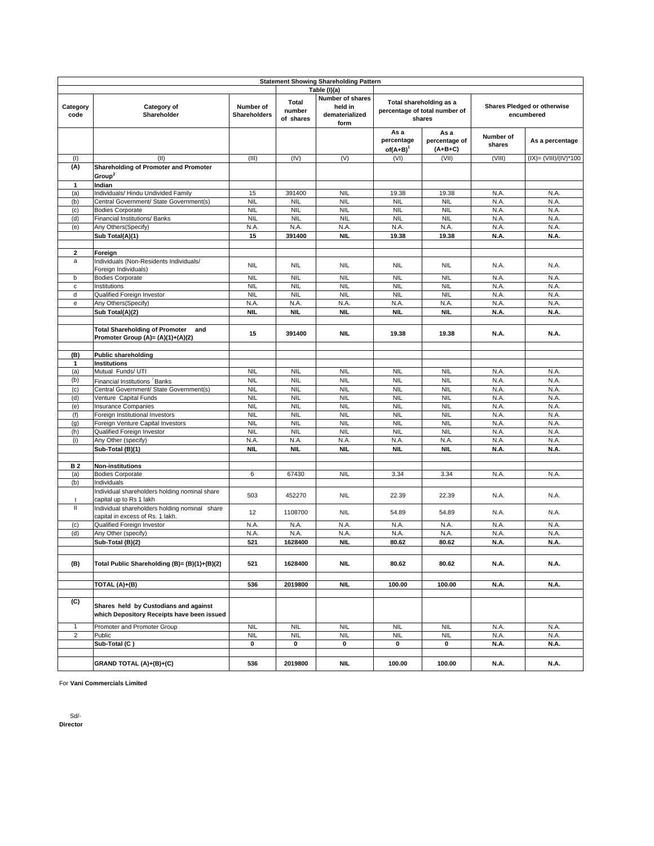|                                            | <b>Statement Showing Shareholding Pattern</b> |                     |              |                  |                                         |                         |             |                             |
|--------------------------------------------|-----------------------------------------------|---------------------|--------------|------------------|-----------------------------------------|-------------------------|-------------|-----------------------------|
|                                            |                                               |                     |              | Table (I)(a)     |                                         |                         |             |                             |
|                                            |                                               |                     |              | Number of shares |                                         |                         |             |                             |
| Category                                   | Category of                                   | Number of           | <b>Total</b> | held in          |                                         | Total shareholding as a |             | Shares Pledged or otherwise |
| code                                       | Shareholder                                   | <b>Shareholders</b> | number       | dematerialized   | percentage of total number of<br>shares |                         |             | encumbered                  |
|                                            |                                               |                     | of shares    | form             |                                         |                         |             |                             |
|                                            |                                               |                     |              |                  | As a                                    | As a                    |             |                             |
|                                            |                                               |                     |              |                  | percentage                              | percentage of           | Number of   | As a percentage             |
|                                            |                                               |                     |              |                  | $of(A+B)^T$                             | $(A+B+C)$               | shares      |                             |
| (1)                                        | (II)                                          | (III)               | (IV)         | (V)              | (VI)                                    | (VII)                   | (VIII)      | $(IX) = (VIII)/(IV)*100$    |
| (A)                                        | Shareholding of Promoter and Promoter         |                     |              |                  |                                         |                         |             |                             |
|                                            |                                               |                     |              |                  |                                         |                         |             |                             |
|                                            | Group <sup>2</sup>                            |                     |              |                  |                                         |                         |             |                             |
| $\mathbf{1}$                               | Indian                                        |                     |              |                  |                                         |                         |             |                             |
| (a)                                        | Individuals/ Hindu Undivided Family           | 15                  | 391400       | <b>NIL</b>       | 19.38                                   | 19.38                   | N.A.        | N.A.                        |
| (b)                                        | Central Government/ State Government(s)       | <b>NIL</b>          | <b>NIL</b>   | <b>NIL</b>       | <b>NIL</b>                              | <b>NIL</b>              | N.A.        | N.A.                        |
| (c)                                        | <b>Bodies Corporate</b>                       | <b>NIL</b>          | <b>NIL</b>   | <b>NIL</b>       | <b>NIL</b>                              | <b>NIL</b>              | N.A.        | N.A.                        |
| (d)                                        | Financial Institutions/ Banks                 | <b>NIL</b>          | <b>NIL</b>   | <b>NIL</b>       | <b>NIL</b>                              | <b>NIL</b>              | N.A.        | N.A.                        |
| (e)                                        | Any Others(Specify)                           | N.A.                | N.A.         | N.A.             | N.A.                                    | N.A.                    | N.A.        | N.A.                        |
|                                            | Sub Total(A)(1)                               | 15                  | 391400       | NII.             | 19.38                                   | 19.38                   | N.A.        | N.A.                        |
|                                            |                                               |                     |              |                  |                                         |                         |             |                             |
| $\overline{\mathbf{2}}$                    | Foreign                                       |                     |              |                  |                                         |                         |             |                             |
| a                                          | Individuals (Non-Residents Individuals/       | <b>NIL</b>          | <b>NIL</b>   | <b>NIL</b>       | <b>NIL</b>                              | <b>NIL</b>              | N.A.        | N.A.                        |
|                                            | Foreign Individuals)                          |                     |              |                  |                                         |                         |             |                             |
| b                                          | <b>Bodies Corporate</b>                       | <b>NIL</b>          | <b>NIL</b>   | <b>NIL</b>       | <b>NIL</b>                              | <b>NIL</b>              | N.A.        | N.A.                        |
| $\mathbf c$                                | Institutions                                  | <b>NIL</b>          | <b>NIL</b>   | <b>NIL</b>       | <b>NIL</b>                              | <b>NIL</b>              | N.A.        | N.A.                        |
| d                                          | Qualified Foreign Investor                    | <b>NIL</b>          | <b>NIL</b>   | <b>NIL</b>       | <b>NIL</b>                              | <b>NIL</b>              | N.A.        | N.A.                        |
| $\mathsf{e}% _{0}\left( \mathsf{e}\right)$ | Any Others(Specify)                           | N.A.                | N.A.         | N.A.             | N.A.                                    | N.A.                    | N.A.        | N.A.                        |
|                                            | Sub Total(A)(2)                               | <b>NIL</b>          | <b>NIL</b>   | NIL.             | <b>NIL</b>                              | NIL.                    | N.A.        | N.A.                        |
|                                            |                                               |                     |              |                  |                                         |                         |             |                             |
|                                            | <b>Total Shareholding of Promoter</b><br>and  |                     |              |                  |                                         |                         |             |                             |
|                                            | Promoter Group (A)= $(A)(1)+(A)(2)$           | 15                  | 391400       | NIL.             | 19.38                                   | 19.38                   | N.A.        | N.A.                        |
|                                            |                                               |                     |              |                  |                                         |                         |             |                             |
|                                            | <b>Public shareholding</b>                    |                     |              |                  |                                         |                         |             |                             |
| (B)<br>$\mathbf{1}$                        | <b>Institutions</b>                           |                     |              |                  |                                         |                         |             |                             |
| (a)                                        | Mutual Funds/ UTI                             | <b>NIL</b>          | <b>NIL</b>   | <b>NIL</b>       | <b>NIL</b>                              | <b>NIL</b>              | N.A.        | N.A.                        |
| (b)                                        |                                               | <b>NIL</b>          | <b>NIL</b>   |                  |                                         | <b>NIL</b>              | N.A.        |                             |
|                                            | Financial Institutions / Banks                |                     |              | <b>NIL</b>       | <b>NIL</b>                              |                         |             | N.A.                        |
| (c)                                        | Central Government/ State Government(s)       | <b>NIL</b>          | <b>NIL</b>   | <b>NIL</b>       | <b>NIL</b>                              | <b>NIL</b>              | N.A.        | N.A.                        |
| (d)                                        | Venture Capital Funds                         | <b>NIL</b>          | <b>NIL</b>   | <b>NIL</b>       | <b>NIL</b>                              | <b>NIL</b>              | N.A.        | N.A.                        |
| (e)                                        | <b>Insurance Companies</b>                    | <b>NIL</b>          | <b>NIL</b>   | <b>NIL</b>       | <b>NIL</b>                              | <b>NIL</b>              | N.A.        | N.A.                        |
| (f)                                        | Foreign Institutional Investors               | <b>NIL</b>          | <b>NIL</b>   | <b>NIL</b>       | <b>NIL</b>                              | <b>NIL</b>              | N.A.        | N.A.                        |
| (g)                                        | Foreign Venture Capital Investors             | <b>NIL</b>          | <b>NIL</b>   | <b>NIL</b>       | <b>NIL</b>                              | <b>NIL</b>              | N.A.        | N.A.                        |
| (h)                                        | Qualified Foreign Investor                    | <b>NIL</b>          | <b>NIL</b>   | <b>NIL</b>       | <b>NIL</b>                              | <b>NIL</b>              | N.A.        | N.A.                        |
| (i)                                        | Any Other (specify)                           | N.A.                | N.A.         | N.A.             | N.A.                                    | N.A.                    | N.A.        | N.A.                        |
|                                            | Sub-Total (B)(1)                              | NIL.                | NIL.         | NIL.             | <b>NIL</b>                              | NIL.                    | N.A.        | N.A.                        |
|                                            |                                               |                     |              |                  |                                         |                         |             |                             |
| <b>B2</b>                                  | <b>Non-institutions</b>                       |                     |              |                  |                                         |                         |             |                             |
| (a)                                        | <b>Bodies Corporate</b>                       | 6                   | 67430        | <b>NIL</b>       | 3.34                                    | 3.34                    | N.A.        | N.A.                        |
| (b)                                        | Individuals                                   |                     |              |                  |                                         |                         |             |                             |
|                                            | Individual shareholders holding nominal share | 503                 | 452270       | <b>NIL</b>       |                                         | 22.39                   | N.A.        | N.A.                        |
| $\mathbf{I}$                               | capital up to Rs 1 lakh                       |                     |              |                  | 22.39                                   |                         |             |                             |
| Ш                                          | Individual shareholders holding nominal share |                     |              |                  |                                         |                         |             |                             |
|                                            | capital in excess of Rs. 1 lakh.              | 12                  | 1108700      | <b>NIL</b>       | 54.89                                   | 54.89                   | N.A.        | N.A.                        |
| (c)                                        | Qualified Foreign Investor                    | N.A.                | N.A.         | N.A.             | N.A.                                    | N.A.                    | N.A.        | N.A.                        |
| (d)                                        | Any Other (specify)                           | N.A.                | N.A.         | N.A.             | N.A.                                    | N.A.                    | N.A.        | N.A.                        |
|                                            | Sub-Total (B)(2)                              | 521                 | 1628400      | NIL.             | 80.62                                   | 80.62                   | N.A.        | N.A.                        |
|                                            |                                               |                     |              |                  |                                         |                         |             |                             |
|                                            |                                               |                     |              |                  |                                         |                         |             |                             |
| (B)                                        | Total Public Shareholding (B)= (B)(1)+(B)(2)  | 521                 | 1628400      | NIL.             | 80.62                                   | 80.62                   | N.A.        | N.A.                        |
|                                            |                                               |                     |              |                  |                                         |                         |             |                             |
|                                            | TOTAL (A)+(B)                                 | 536                 | 2019800      | <b>NIL</b>       | 100.00                                  | 100.00                  | <b>N.A.</b> | N.A.                        |
|                                            |                                               |                     |              |                  |                                         |                         |             |                             |
|                                            |                                               |                     |              |                  |                                         |                         |             |                             |
| (C)                                        | Shares held by Custodians and against         |                     |              |                  |                                         |                         |             |                             |
|                                            | which Depository Receipts have been issued    |                     |              |                  |                                         |                         |             |                             |
|                                            | Promoter and Promoter Group                   | <b>NIL</b>          | <b>NIL</b>   | <b>NIL</b>       | <b>NIL</b>                              | <b>NIL</b>              | N.A.        | N.A.                        |
| $\overline{2}$                             | Public                                        | <b>NIL</b>          | <b>NIL</b>   | <b>NIL</b>       | <b>NIL</b>                              | <b>NIL</b>              | N.A.        | N.A.                        |
|                                            |                                               |                     |              |                  |                                         |                         |             |                             |
|                                            | Sub-Total (C)                                 | 0                   | 0            | 0                | 0                                       | 0                       | N.A.        | N.A.                        |
|                                            |                                               |                     |              |                  |                                         |                         |             |                             |
|                                            | GRAND TOTAL (A)+(B)+(C)                       | 536                 | 2019800      | NIL              | 100.00                                  | 100.00                  | N.A.        | N.A.                        |
|                                            |                                               |                     |              |                  |                                         |                         |             |                             |

For **Vani Commercials Limited**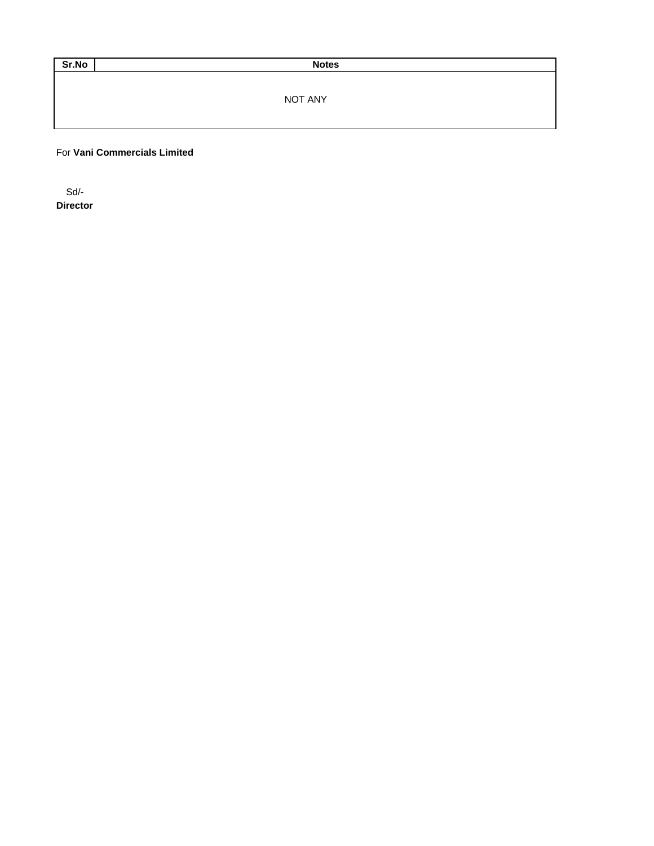Sr.No Notes

NOT ANY

For **Vani Commercials Limited**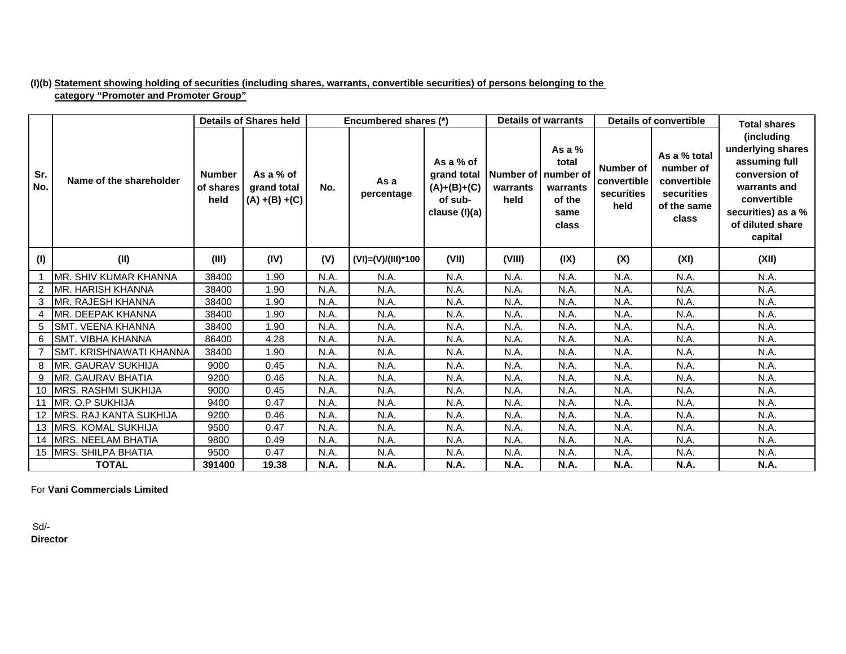# **(I)(b) Statement showing holding of securities (including shares, warrants, convertible securities) of persons belonging to the category "Promoter and Promoter Group"**

|            |                            |                                    | <b>Details of Shares held</b>                 |             | Encumbered shares (*) |                                                                       |                                           | <b>Details of warrants</b>                               |                                                       | <b>Details of convertible</b>                                                  | <b>Total shares</b>                                                                                                                                   |
|------------|----------------------------|------------------------------------|-----------------------------------------------|-------------|-----------------------|-----------------------------------------------------------------------|-------------------------------------------|----------------------------------------------------------|-------------------------------------------------------|--------------------------------------------------------------------------------|-------------------------------------------------------------------------------------------------------------------------------------------------------|
| Sr.<br>No. | Name of the shareholder    | <b>Number</b><br>of shares<br>held | As a % of<br>grand total<br>$(A) + (B) + (C)$ | No.         | As a<br>percentage    | As a % of<br>grand total<br>$(A)+(B)+(C)$<br>of sub-<br>clause (I)(a) | Number of   number of<br>warrants<br>held | As a $%$<br>total<br>warrants<br>of the<br>same<br>class | <b>Number of</b><br>convertible<br>securities<br>held | As a % total<br>number of<br>convertible<br>securities<br>of the same<br>class | (including<br>underlying shares<br>assuming full<br>conversion of<br>warrants and<br>convertible<br>securities) as a %<br>of diluted share<br>capital |
| (1)        | (II)                       | (III)                              | (IV)                                          | (V)         | (VI)=(V)/(III)*100    | (VII)                                                                 | (VIII)                                    | (IX)                                                     | (X)                                                   | (XI)                                                                           | (XII)                                                                                                                                                 |
|            | MR. SHIV KUMAR KHANNA      | 38400                              | 1.90                                          | N.A.        | N.A.                  | N.A.                                                                  | N.A.                                      | N.A.                                                     | N.A.                                                  | N.A.                                                                           | N.A.                                                                                                                                                  |
|            | MR. HARISH KHANNA          | 38400                              | 1.90                                          | N.A.        | N.A.                  | N.A.                                                                  | N.A.                                      | N.A.                                                     | N.A.                                                  | N.A.                                                                           | N.A.                                                                                                                                                  |
| 3          | <b>IMR. RAJESH KHANNA</b>  | 38400                              | 1.90                                          | N.A.        | N.A.                  | N.A.                                                                  | N.A.                                      | N.A.                                                     | N.A.                                                  | N.A.                                                                           | N.A.                                                                                                                                                  |
|            | MR. DEEPAK KHANNA          | 38400                              | 1.90                                          | N.A.        | N.A.                  | N.A.                                                                  | N.A.                                      | N.A.                                                     | N.A.                                                  | N.A.                                                                           | N.A.                                                                                                                                                  |
| 5          | <b>SMT. VEENA KHANNA</b>   | 38400                              | 1.90                                          | N.A.        | N.A.                  | N.A.                                                                  | N.A.                                      | N.A.                                                     | N.A.                                                  | N.A.                                                                           | N.A.                                                                                                                                                  |
| 6          | <b>SMT. VIBHA KHANNA</b>   | 86400                              | 4.28                                          | N.A.        | N.A.                  | N.A.                                                                  | N.A.                                      | N.A                                                      | N.A.                                                  | N.A.                                                                           | N.A.                                                                                                                                                  |
|            | ISMT. KRISHNAWATI KHANNA   | 38400                              | 1.90                                          | N.A.        | N.A.                  | N.A.                                                                  | N.A.                                      | N.A.                                                     | N.A.                                                  | N.A.                                                                           | N.A.                                                                                                                                                  |
| 8          | MR. GAURAV SUKHIJA         | 9000                               | 0.45                                          | N.A.        | N.A.                  | N.A.                                                                  | N.A.                                      | N.A.                                                     | N.A.                                                  | N.A.                                                                           | N.A.                                                                                                                                                  |
| 9          | MR. GAURAV BHATIA          | 9200                               | 0.46                                          | N.A.        | N.A.                  | N.A.                                                                  | N.A.                                      | N.A.                                                     | N.A.                                                  | N.A.                                                                           | N.A.                                                                                                                                                  |
| 10         | <b>MRS. RASHMI SUKHIJA</b> | 9000                               | 0.45                                          | N.A.        | N.A.                  | N.A.                                                                  | N.A.                                      | N.A.                                                     | N.A.                                                  | N.A.                                                                           | N.A.                                                                                                                                                  |
| 11         | IMR. O.P SUKHIJA           | 9400                               | 0.47                                          | N.A.        | N.A.                  | N.A.                                                                  | N.A.                                      | N.A.                                                     | N.A.                                                  | N.A.                                                                           | N.A.                                                                                                                                                  |
| 12         | IMRS. RAJ KANTA SUKHIJA    | 9200                               | 0.46                                          | N.A.        | N.A.                  | N.A.                                                                  | N.A.                                      | N.A.                                                     | N.A.                                                  | N.A.                                                                           | N.A.                                                                                                                                                  |
| 13         | <b>MRS. KOMAL SUKHIJA</b>  | 9500                               | 0.47                                          | N.A.        | N.A.                  | N.A.                                                                  | N.A.                                      | N.A.                                                     | N.A.                                                  | N.A.                                                                           | N.A.                                                                                                                                                  |
| 14         | MRS. NEELAM BHATIA         | 9800                               | 0.49                                          | N.A.        | N.A.                  | N.A.                                                                  | N.A.                                      | N.A.                                                     | N.A.                                                  | N.A.                                                                           | N.A.                                                                                                                                                  |
|            | 15 MRS. SHILPA BHATIA      | 9500                               | 0.47                                          | N.A.        | N.A.                  | N.A.                                                                  | N.A.                                      | N.A.                                                     | N.A.                                                  | N.A.                                                                           | N.A.                                                                                                                                                  |
|            | <b>TOTAL</b>               | 391400                             | 19.38                                         | <b>N.A.</b> | <b>N.A.</b>           | N.A.                                                                  | <b>N.A.</b>                               | <b>N.A.</b>                                              | <b>N.A.</b>                                           | <b>N.A.</b>                                                                    | N.A.                                                                                                                                                  |

For **Vani Commercials Limited**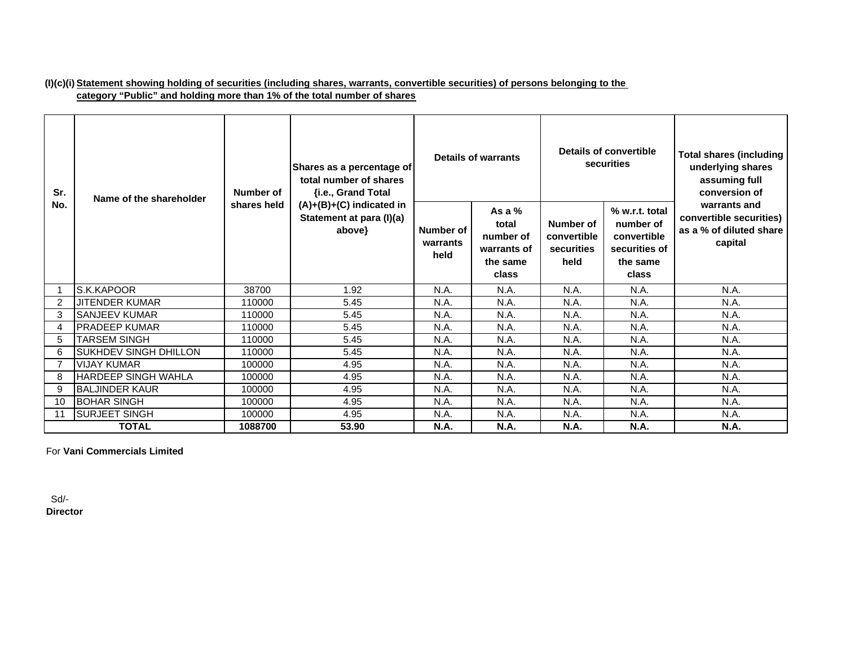# **(I)(c)(i) Statement showing holding of securities (including shares, warrants, convertible securities) of persons belonging to the category "Public" and holding more than 1% of the total number of shares**

| Sr. | Name of the shareholder      | Number of   | Shares as a percentage of<br>total number of shares<br>{i.e., Grand Total |                               | Details of warrants                                                |                                                | Details of convertible<br>securities                                             | <b>Total shares (including</b><br>underlying shares<br>assuming full<br>conversion of |
|-----|------------------------------|-------------|---------------------------------------------------------------------------|-------------------------------|--------------------------------------------------------------------|------------------------------------------------|----------------------------------------------------------------------------------|---------------------------------------------------------------------------------------|
| No. |                              | shares held | (A)+(B)+(C) indicated in<br>Statement at para (I)(a)<br>above}            | Number of<br>warrants<br>held | As a $%$<br>total<br>number of<br>warrants of<br>the same<br>class | Number of<br>convertible<br>securities<br>held | % w.r.t. total<br>number of<br>convertible<br>securities of<br>the same<br>class | warrants and<br>convertible securities)<br>as a % of diluted share<br>capital         |
|     | S.K.KAPOOR                   | 38700       | 1.92                                                                      | N.A.                          | N.A.                                                               | N.A.                                           | N.A.                                                                             | N.A.                                                                                  |
| 2   | <b>JITENDER KUMAR</b>        | 110000      | 5.45                                                                      | N.A.                          | N.A.                                                               | N.A.                                           | N.A.                                                                             | N.A.                                                                                  |
| 3   | <b>SANJEEV KUMAR</b>         | 110000      | 5.45                                                                      | N.A.                          | N.A.                                                               | N.A.                                           | N.A.                                                                             | N.A.                                                                                  |
|     | <b>PRADEEP KUMAR</b>         | 110000      | 5.45                                                                      | N.A.                          | N.A.                                                               | N.A.                                           | N.A.                                                                             | N.A.                                                                                  |
| 5   | <b>TARSEM SINGH</b>          | 110000      | 5.45                                                                      | N.A.                          | N.A.                                                               | N.A.                                           | N.A.                                                                             | N.A.                                                                                  |
| 6   | <b>SUKHDEV SINGH DHILLON</b> | 110000      | 5.45                                                                      | N.A.                          | N.A.                                                               | N.A.                                           | N.A.                                                                             | N.A.                                                                                  |
|     | <b>VIJAY KUMAR</b>           | 100000      | 4.95                                                                      | N.A.                          | N.A.                                                               | N.A.                                           | N.A.                                                                             | N.A.                                                                                  |
| 8   | <b>HARDEEP SINGH WAHLA</b>   | 100000      | 4.95                                                                      | N.A.                          | N.A.                                                               | N.A.                                           | N.A.                                                                             | N.A.                                                                                  |
| 9   | <b>BALJINDER KAUR</b>        | 100000      | 4.95                                                                      | N.A.                          | N.A.                                                               | N.A.                                           | N.A.                                                                             | N.A.                                                                                  |
| 10  | <b>BOHAR SINGH</b>           | 100000      | 4.95                                                                      | N.A.                          | N.A.                                                               | N.A.                                           | N.A.                                                                             | N.A.                                                                                  |
| 11  | <b>SURJEET SINGH</b>         | 100000      | 4.95                                                                      | N.A.                          | N.A.                                                               | N.A.                                           | N.A.                                                                             | N.A.                                                                                  |
|     | <b>TOTAL</b>                 | 1088700     | 53.90                                                                     | <b>N.A.</b>                   | <b>N.A.</b>                                                        | <b>N.A.</b>                                    | <b>N.A.</b>                                                                      | <b>N.A.</b>                                                                           |

For **Vani Commercials Limited**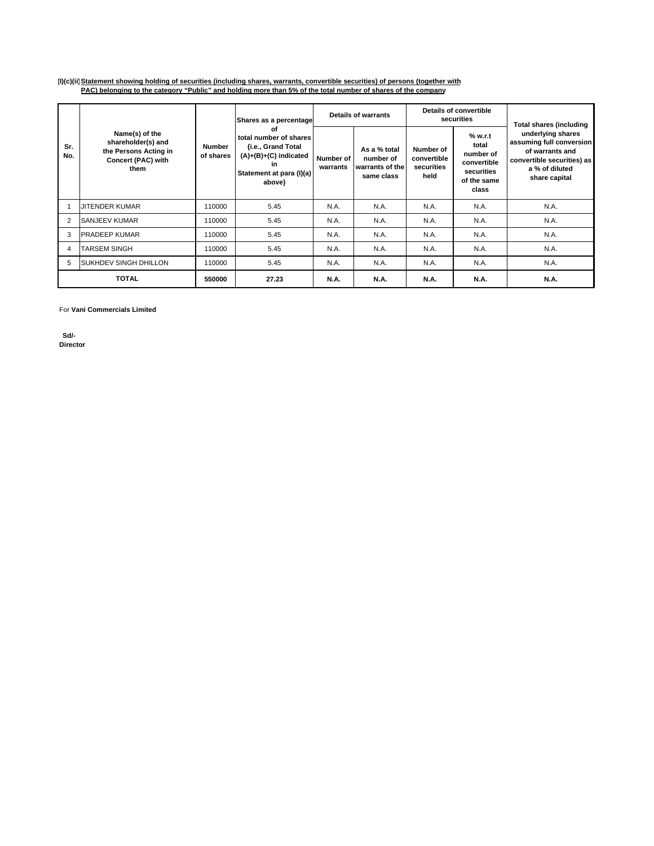### **(I)(c)(ii)Statement showing holding of securities (including shares, warrants, convertible securities) of persons (together with PAC) belonging to the category "Public" and holding more than 5% of the total number of shares of the company**

|            |                                                                                             |                            |                                                                                                                           | <b>Details of warrants</b><br>Shares as a percentage |                                                            |                                                | <b>Details of convertible</b><br>securities                                        | <b>Total shares (including</b>                                                                                                    |
|------------|---------------------------------------------------------------------------------------------|----------------------------|---------------------------------------------------------------------------------------------------------------------------|------------------------------------------------------|------------------------------------------------------------|------------------------------------------------|------------------------------------------------------------------------------------|-----------------------------------------------------------------------------------------------------------------------------------|
| Sr.<br>No. | Name(s) of the<br>shareholder(s) and<br>the Persons Acting in<br>Concert (PAC) with<br>them | <b>Number</b><br>of shares | Οf<br>total number of shares<br>{i.e., Grand Total<br>$(A)+(B)+(C)$ indicated<br>in<br>Statement at para (I)(a)<br>above} | Number of<br>warrants                                | As a % total<br>number of<br>warrants of the<br>same class | Number of<br>convertible<br>securities<br>held | % w.r.t<br>total<br>number of<br>convertible<br>securities<br>of the same<br>class | underlying shares<br>assuming full conversion<br>of warrants and<br>convertible securities) as<br>a % of diluted<br>share capital |
|            | <b>IJITENDER KUMAR</b>                                                                      | 110000                     | 5.45                                                                                                                      | N.A.                                                 | N.A.                                                       | N.A.                                           | N.A.                                                                               | N.A.                                                                                                                              |
| 2          | <b>SANJEEV KUMAR</b>                                                                        | 110000                     | 5.45                                                                                                                      | N.A.                                                 | N.A.                                                       | N.A.                                           | N.A.                                                                               | N.A.                                                                                                                              |
| 3          | <b>PRADEEP KUMAR</b>                                                                        | 110000                     | 5.45                                                                                                                      | N.A.                                                 | N.A.                                                       | N.A.                                           | N.A.                                                                               | N.A.                                                                                                                              |
| 4          | <b>TARSEM SINGH</b>                                                                         | 110000                     | 5.45                                                                                                                      | N.A.                                                 | N.A.                                                       | N.A.                                           | N.A.                                                                               | N.A.                                                                                                                              |
| 5          | <b>SUKHDEV SINGH DHILLON</b>                                                                | 110000                     | 5.45                                                                                                                      | N.A.                                                 | N.A.                                                       | N.A.                                           | N.A.                                                                               | N.A.                                                                                                                              |
|            | <b>TOTAL</b>                                                                                | 550000                     | 27.23                                                                                                                     | <b>N.A.</b>                                          | <b>N.A.</b>                                                | <b>N.A.</b>                                    | <b>N.A.</b>                                                                        | <b>N.A.</b>                                                                                                                       |

For **Vani Commercials Limited**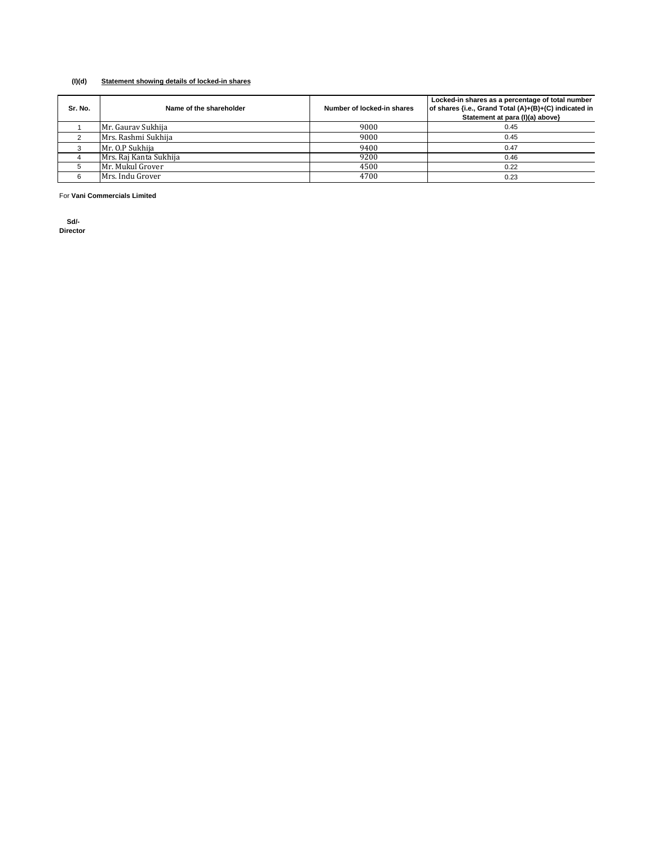### **(I)(d) Statement showing details of locked-in shares**

| Sr. No. | Name of the shareholder | Number of locked-in shares | Locked-in shares as a percentage of total number<br>of shares {i.e., Grand Total (A)+(B)+(C) indicated in<br>Statement at para (I)(a) above} |
|---------|-------------------------|----------------------------|----------------------------------------------------------------------------------------------------------------------------------------------|
|         | Mr. Gauray Sukhija      | 9000                       | 0.45                                                                                                                                         |
|         | Mrs. Rashmi Sukhija     | 9000                       | 0.45                                                                                                                                         |
|         | Mr. O.P Sukhija         | 9400                       | 0.47                                                                                                                                         |
|         | Mrs. Raj Kanta Sukhija  | 9200                       | 0.46                                                                                                                                         |
|         | Mr. Mukul Grover        | 4500                       | 0.22                                                                                                                                         |
|         | Mrs. Indu Grover        | 4700                       | 0.23                                                                                                                                         |

For **Vani Commercials Limited**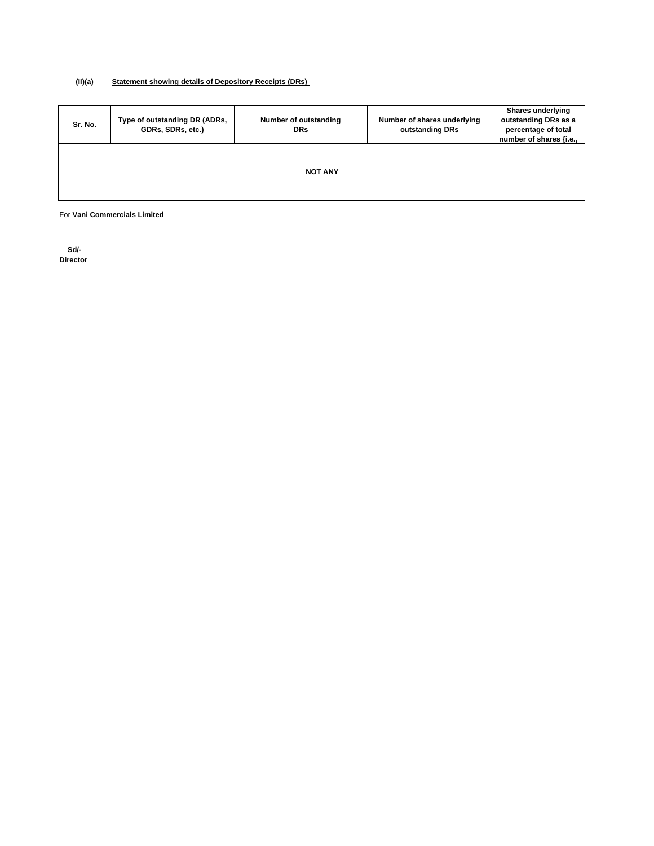### **(II)(a) Statement showing details of Depository Receipts (DRs)**

| Sr. No. | Type of outstanding DR (ADRs,<br>GDRs, SDRs, etc.) | Number of outstanding<br><b>DRs</b> | Number of shares underlying<br>outstanding DRs | <b>Shares underlying</b><br>outstanding DRs as a<br>percentage of total<br>number of shares {i.e., |
|---------|----------------------------------------------------|-------------------------------------|------------------------------------------------|----------------------------------------------------------------------------------------------------|
|         |                                                    | <b>NOT ANY</b>                      |                                                |                                                                                                    |

For **Vani Commercials Limited**